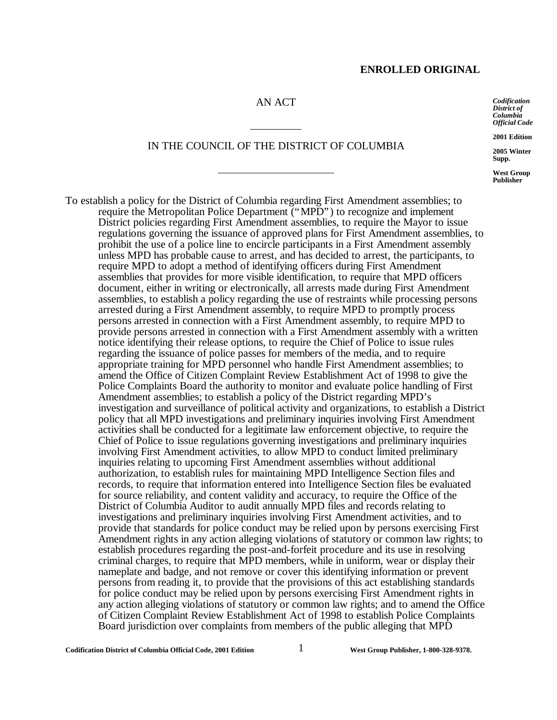### AN ACT

 $\overline{a}$ 

 $\overline{a}$ 

IN THE COUNCIL OF THE DISTRICT OF COLUMBIA

*Codification District of Columbia Official Code*

**2001 Edition**

**2005 Winter Supp.**

**West Group Publisher**

To establish a policy for the District of Columbia regarding First Amendment assemblies; to require the Metropolitan Police Department ("MPD") to recognize and implement District policies regarding First Amendment assemblies, to require the Mayor to issue regulations governing the issuance of approved plans for First Amendment assemblies, to prohibit the use of a police line to encircle participants in a First Amendment assembly unless MPD has probable cause to arrest, and has decided to arrest, the participants, to require MPD to adopt a method of identifying officers during First Amendment assemblies that provides for more visible identification, to require that MPD officers document, either in writing or electronically, all arrests made during First Amendment assemblies, to establish a policy regarding the use of restraints while processing persons arrested during a First Amendment assembly, to require MPD to promptly process persons arrested in connection with a First Amendment assembly, to require MPD to provide persons arrested in connection with a First Amendment assembly with a written notice identifying their release options, to require the Chief of Police to issue rules regarding the issuance of police passes for members of the media, and to require appropriate training for MPD personnel who handle First Amendment assemblies; to amend the Office of Citizen Complaint Review Establishment Act of 1998 to give the Police Complaints Board the authority to monitor and evaluate police handling of First Amendment assemblies; to establish a policy of the District regarding MPD's investigation and surveillance of political activity and organizations, to establish a District policy that all MPD investigations and preliminary inquiries involving First Amendment activities shall be conducted for a legitimate law enforcement objective, to require the Chief of Police to issue regulations governing investigations and preliminary inquiries involving First Amendment activities, to allow MPD to conduct limited preliminary inquiries relating to upcoming First Amendment assemblies without additional authorization, to establish rules for maintaining MPD Intelligence Section files and records, to require that information entered into Intelligence Section files be evaluated for source reliability, and content validity and accuracy, to require the Office of the District of Columbia Auditor to audit annually MPD files and records relating to investigations and preliminary inquiries involving First Amendment activities, and to provide that standards for police conduct may be relied upon by persons exercising First Amendment rights in any action alleging violations of statutory or common law rights; to establish procedures regarding the post-and-forfeit procedure and its use in resolving criminal charges, to require that MPD members, while in uniform, wear or display their nameplate and badge, and not remove or cover this identifying information or prevent persons from reading it, to provide that the provisions of this act establishing standards for police conduct may be relied upon by persons exercising First Amendment rights in any action alleging violations of statutory or common law rights; and to amend the Office of Citizen Complaint Review Establishment Act of 1998 to establish Police Complaints Board jurisdiction over complaints from members of the public alleging that MPD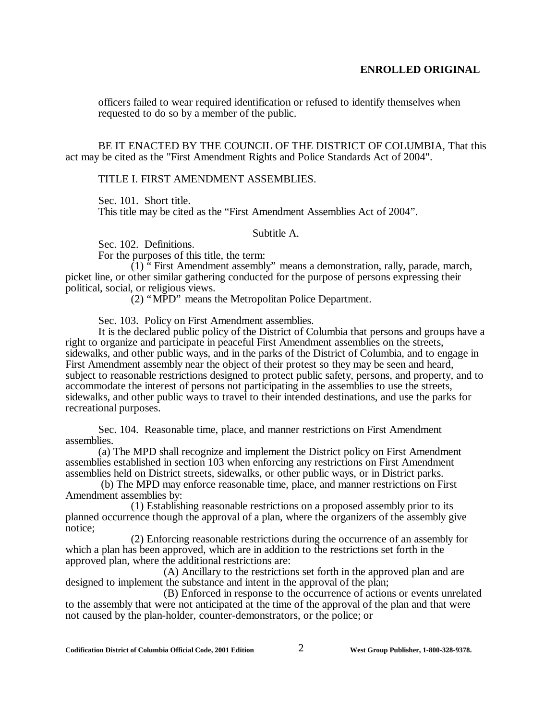officers failed to wear required identification or refused to identify themselves when requested to do so by a member of the public.

BE IT ENACTED BY THE COUNCIL OF THE DISTRICT OF COLUMBIA, That this act may be cited as the "First Amendment Rights and Police Standards Act of 2004".

#### TITLE I. FIRST AMENDMENT ASSEMBLIES.

Sec. 101. Short title.

This title may be cited as the "First Amendment Assemblies Act of 2004".

Subtitle A.

Sec. 102. Definitions.

For the purposes of this title, the term:

 $(1)$  " First Amendment assembly" means a demonstration, rally, parade, march, picket line, or other similar gathering conducted for the purpose of persons expressing their political, social, or religious views.

(2) "MPD" means the Metropolitan Police Department.

Sec. 103. Policy on First Amendment assemblies.

It is the declared public policy of the District of Columbia that persons and groups have a right to organize and participate in peaceful First Amendment assemblies on the streets, sidewalks, and other public ways, and in the parks of the District of Columbia, and to engage in First Amendment assembly near the object of their protest so they may be seen and heard, subject to reasonable restrictions designed to protect public safety, persons, and property, and to accommodate the interest of persons not participating in the assemblies to use the streets, sidewalks, and other public ways to travel to their intended destinations, and use the parks for recreational purposes.

Sec. 104. Reasonable time, place, and manner restrictions on First Amendment assemblies.

(a) The MPD shall recognize and implement the District policy on First Amendment assemblies established in section 103 when enforcing any restrictions on First Amendment assemblies held on District streets, sidewalks, or other public ways, or in District parks.

 (b) The MPD may enforce reasonable time, place, and manner restrictions on First Amendment assemblies by:

(1) Establishing reasonable restrictions on a proposed assembly prior to its planned occurrence though the approval of a plan, where the organizers of the assembly give notice;

(2) Enforcing reasonable restrictions during the occurrence of an assembly for which a plan has been approved, which are in addition to the restrictions set forth in the approved plan, where the additional restrictions are:

(A) Ancillary to the restrictions set forth in the approved plan and are designed to implement the substance and intent in the approval of the plan;

(B) Enforced in response to the occurrence of actions or events unrelated to the assembly that were not anticipated at the time of the approval of the plan and that were not caused by the plan-holder, counter-demonstrators, or the police; or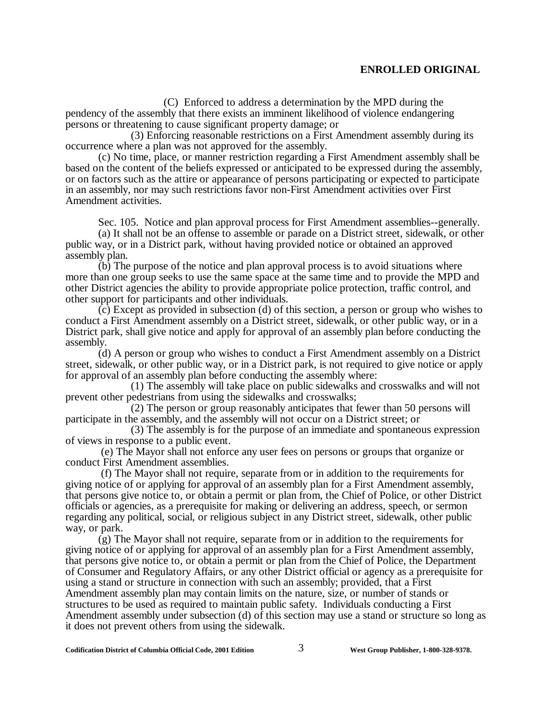(C) Enforced to address a determination by the MPD during the pendency of the assembly that there exists an imminent likelihood of violence endangering persons or threatening to cause significant property damage; or

(3) Enforcing reasonable restrictions on a First Amendment assembly during its occurrence where a plan was not approved for the assembly.

(c) No time, place, or manner restriction regarding a First Amendment assembly shall be based on the content of the beliefs expressed or anticipated to be expressed during the assembly, or on factors such as the attire or appearance of persons participating or expected to participate in an assembly, nor may such restrictions favor non-First Amendment activities over First Amendment activities.

Sec. 105. Notice and plan approval process for First Amendment assemblies--generally.

(a) It shall not be an offense to assemble or parade on a District street, sidewalk, or other public way, or in a District park, without having provided notice or obtained an approved assembly plan.

(b) The purpose of the notice and plan approval process is to avoid situations where more than one group seeks to use the same space at the same time and to provide the MPD and other District agencies the ability to provide appropriate police protection, traffic control, and other support for participants and other individuals.

(c) Except as provided in subsection (d) of this section, a person or group who wishes to conduct a First Amendment assembly on a District street, sidewalk, or other public way, or in a District park, shall give notice and apply for approval of an assembly plan before conducting the assembly.

(d) A person or group who wishes to conduct a First Amendment assembly on a District street, sidewalk, or other public way, or in a District park, is not required to give notice or apply for approval of an assembly plan before conducting the assembly where:

(1) The assembly will take place on public sidewalks and crosswalks and will not prevent other pedestrians from using the sidewalks and crosswalks;

(2) The person or group reasonably anticipates that fewer than 50 persons will participate in the assembly, and the assembly will not occur on a District street; or

(3) The assembly is for the purpose of an immediate and spontaneous expression of views in response to a public event.

 (e) The Mayor shall not enforce any user fees on persons or groups that organize or conduct First Amendment assemblies.

 (f) The Mayor shall not require, separate from or in addition to the requirements for giving notice of or applying for approval of an assembly plan for a First Amendment assembly, that persons give notice to, or obtain a permit or plan from, the Chief of Police, or other District officials or agencies, as a prerequisite for making or delivering an address, speech, or sermon regarding any political, social, or religious subject in any District street, sidewalk, other public way, or park.

(g) The Mayor shall not require, separate from or in addition to the requirements for giving notice of or applying for approval of an assembly plan for a First Amendment assembly, that persons give notice to, or obtain a permit or plan from the Chief of Police, the Department of Consumer and Regulatory Affairs, or any other District official or agency as a prerequisite for using a stand or structure in connection with such an assembly; provided, that a First Amendment assembly plan may contain limits on the nature, size, or number of stands or structures to be used as required to maintain public safety. Individuals conducting a First Amendment assembly under subsection (d) of this section may use a stand or structure so long as it does not prevent others from using the sidewalk.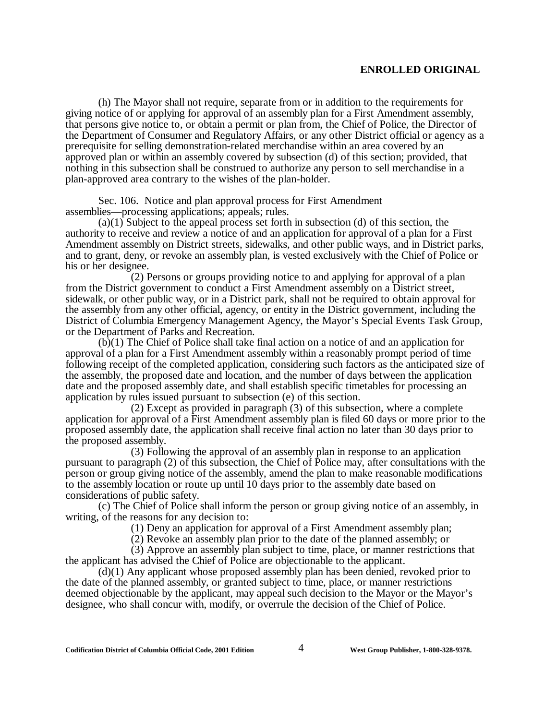(h) The Mayor shall not require, separate from or in addition to the requirements for giving notice of or applying for approval of an assembly plan for a First Amendment assembly, that persons give notice to, or obtain a permit or plan from, the Chief of Police, the Director of the Department of Consumer and Regulatory Affairs, or any other District official or agency as a prerequisite for selling demonstration-related merchandise within an area covered by an approved plan or within an assembly covered by subsection (d) of this section; provided, that nothing in this subsection shall be construed to authorize any person to sell merchandise in a plan-approved area contrary to the wishes of the plan-holder.

Sec. 106. Notice and plan approval process for First Amendment assemblies— processing applications; appeals; rules.

(a)(1) Subject to the appeal process set forth in subsection (d) of this section, the authority to receive and review a notice of and an application for approval of a plan for a First Amendment assembly on District streets, sidewalks, and other public ways, and in District parks, and to grant, deny, or revoke an assembly plan, is vested exclusively with the Chief of Police or his or her designee.

(2) Persons or groups providing notice to and applying for approval of a plan from the District government to conduct a First Amendment assembly on a District street, sidewalk, or other public way, or in a District park, shall not be required to obtain approval for the assembly from any other official, agency, or entity in the District government, including the District of Columbia Emergency Management Agency, the Mayor's Special Events Task Group, or the Department of Parks and Recreation.

(b)(1) The Chief of Police shall take final action on a notice of and an application for approval of a plan for a First Amendment assembly within a reasonably prompt period of time following receipt of the completed application, considering such factors as the anticipated size of the assembly, the proposed date and location, and the number of days between the application date and the proposed assembly date, and shall establish specific timetables for processing an application by rules issued pursuant to subsection (e) of this section.

(2) Except as provided in paragraph (3) of this subsection, where a complete application for approval of a First Amendment assembly plan is filed 60 days or more prior to the proposed assembly date, the application shall receive final action no later than 30 days prior to the proposed assembly.

(3) Following the approval of an assembly plan in response to an application pursuant to paragraph (2) of this subsection, the Chief of Police may, after consultations with the person or group giving notice of the assembly, amend the plan to make reasonable modifications to the assembly location or route up until 10 days prior to the assembly date based on considerations of public safety.

(c) The Chief of Police shall inform the person or group giving notice of an assembly, in writing, of the reasons for any decision to:

(1) Deny an application for approval of a First Amendment assembly plan;

(2) Revoke an assembly plan prior to the date of the planned assembly; or

(3) Approve an assembly plan subject to time, place, or manner restrictions that the applicant has advised the Chief of Police are objectionable to the applicant.

(d)(1) Any applicant whose proposed assembly plan has been denied, revoked prior to the date of the planned assembly, or granted subject to time, place, or manner restrictions deemed objectionable by the applicant, may appeal such decision to the Mayor or the Mayor's designee, who shall concur with, modify, or overrule the decision of the Chief of Police.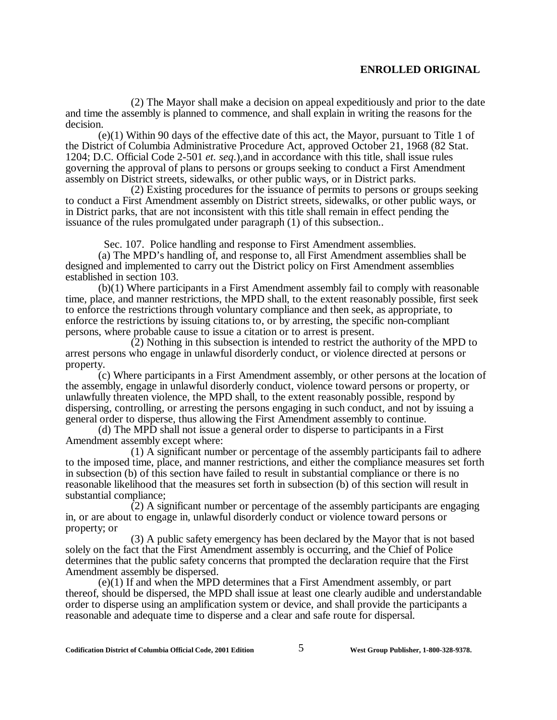(2) The Mayor shall make a decision on appeal expeditiously and prior to the date and time the assembly is planned to commence, and shall explain in writing the reasons for the decision.

(e)(1) Within 90 days of the effective date of this act, the Mayor, pursuant to Title 1 of the District of Columbia Administrative Procedure Act, approved October 21, 1968 (82 Stat. 1204; D.C. Official Code 2-501 *et. seq*.),and in accordance with this title, shall issue rules governing the approval of plans to persons or groups seeking to conduct a First Amendment assembly on District streets, sidewalks, or other public ways, or in District parks.

(2) Existing procedures for the issuance of permits to persons or groups seeking to conduct a First Amendment assembly on District streets, sidewalks, or other public ways, or in District parks, that are not inconsistent with this title shall remain in effect pending the issuance of the rules promulgated under paragraph (1) of this subsection..

Sec. 107. Police handling and response to First Amendment assemblies.

(a) The MPD's handling of, and response to, all First Amendment assemblies shall be designed and implemented to carry out the District policy on First Amendment assemblies established in section 103.

(b)(1) Where participants in a First Amendment assembly fail to comply with reasonable time, place, and manner restrictions, the MPD shall, to the extent reasonably possible, first seek to enforce the restrictions through voluntary compliance and then seek, as appropriate, to enforce the restrictions by issuing citations to, or by arresting, the specific non-compliant persons, where probable cause to issue a citation or to arrest is present.

(2) Nothing in this subsection is intended to restrict the authority of the MPD to arrest persons who engage in unlawful disorderly conduct, or violence directed at persons or property.

(c) Where participants in a First Amendment assembly, or other persons at the location of the assembly, engage in unlawful disorderly conduct, violence toward persons or property, or unlawfully threaten violence, the MPD shall, to the extent reasonably possible, respond by dispersing, controlling, or arresting the persons engaging in such conduct, and not by issuing a general order to disperse, thus allowing the First Amendment assembly to continue.

(d) The MPD shall not issue a general order to disperse to participants in a First Amendment assembly except where:

(1) A significant number or percentage of the assembly participants fail to adhere to the imposed time, place, and manner restrictions, and either the compliance measures set forth in subsection (b) of this section have failed to result in substantial compliance or there is no reasonable likelihood that the measures set forth in subsection (b) of this section will result in substantial compliance;

(2) A significant number or percentage of the assembly participants are engaging in, or are about to engage in, unlawful disorderly conduct or violence toward persons or property; or

(3) A public safety emergency has been declared by the Mayor that is not based solely on the fact that the First Amendment assembly is occurring, and the Chief of Police determines that the public safety concerns that prompted the declaration require that the First Amendment assembly be dispersed.

(e)(1) If and when the MPD determines that a First Amendment assembly, or part thereof, should be dispersed, the MPD shall issue at least one clearly audible and understandable order to disperse using an amplification system or device, and shall provide the participants a reasonable and adequate time to disperse and a clear and safe route for dispersal.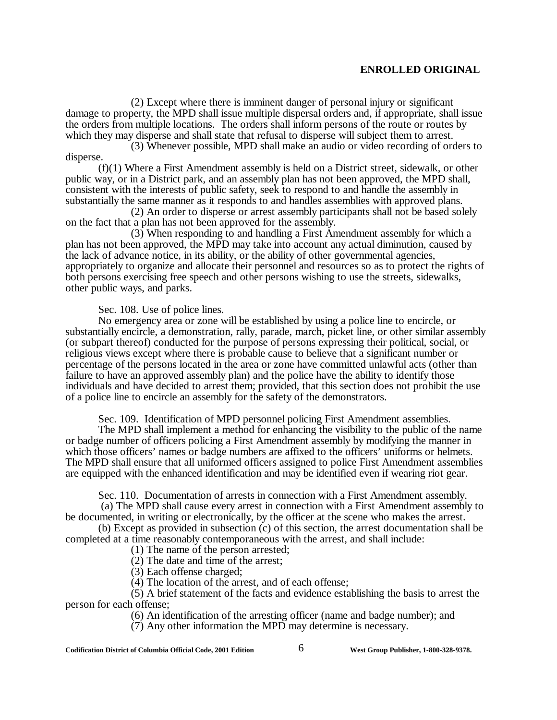(2) Except where there is imminent danger of personal injury or significant damage to property, the MPD shall issue multiple dispersal orders and, if appropriate, shall issue the orders from multiple locations. The orders shall inform persons of the route or routes by which they may disperse and shall state that refusal to disperse will subject them to arrest.

(3) Whenever possible, MPD shall make an audio or video recording of orders to disperse.

(f)(1) Where a First Amendment assembly is held on a District street, sidewalk, or other public way, or in a District park, and an assembly plan has not been approved, the MPD shall, consistent with the interests of public safety, seek to respond to and handle the assembly in substantially the same manner as it responds to and handles assemblies with approved plans.

(2) An order to disperse or arrest assembly participants shall not be based solely on the fact that a plan has not been approved for the assembly.

(3) When responding to and handling a First Amendment assembly for which a plan has not been approved, the MPD may take into account any actual diminution, caused by the lack of advance notice, in its ability, or the ability of other governmental agencies, appropriately to organize and allocate their personnel and resources so as to protect the rights of both persons exercising free speech and other persons wishing to use the streets, sidewalks, other public ways, and parks.

Sec. 108. Use of police lines.

No emergency area or zone will be established by using a police line to encircle, or substantially encircle, a demonstration, rally, parade, march, picket line, or other similar assembly (or subpart thereof) conducted for the purpose of persons expressing their political, social, or religious views except where there is probable cause to believe that a significant number or percentage of the persons located in the area or zone have committed unlawful acts (other than failure to have an approved assembly plan) and the police have the ability to identify those individuals and have decided to arrest them; provided, that this section does not prohibit the use of a police line to encircle an assembly for the safety of the demonstrators.

Sec. 109. Identification of MPD personnel policing First Amendment assemblies.

The MPD shall implement a method for enhancing the visibility to the public of the name or badge number of officers policing a First Amendment assembly by modifying the manner in which those officers' names or badge numbers are affixed to the officers' uniforms or helmets. The MPD shall ensure that all uniformed officers assigned to police First Amendment assemblies are equipped with the enhanced identification and may be identified even if wearing riot gear.

Sec. 110. Documentation of arrests in connection with a First Amendment assembly.

 (a) The MPD shall cause every arrest in connection with a First Amendment assembly to be documented, in writing or electronically, by the officer at the scene who makes the arrest.

(b) Except as provided in subsection (c) of this section, the arrest documentation shall be completed at a time reasonably contemporaneous with the arrest, and shall include:

(1) The name of the person arrested;

(2) The date and time of the arrest;

(3) Each offense charged;

(4) The location of the arrest, and of each offense;

(5) A brief statement of the facts and evidence establishing the basis to arrest the person for each offense;

(6) An identification of the arresting officer (name and badge number); and

(7) Any other information the MPD may determine is necessary.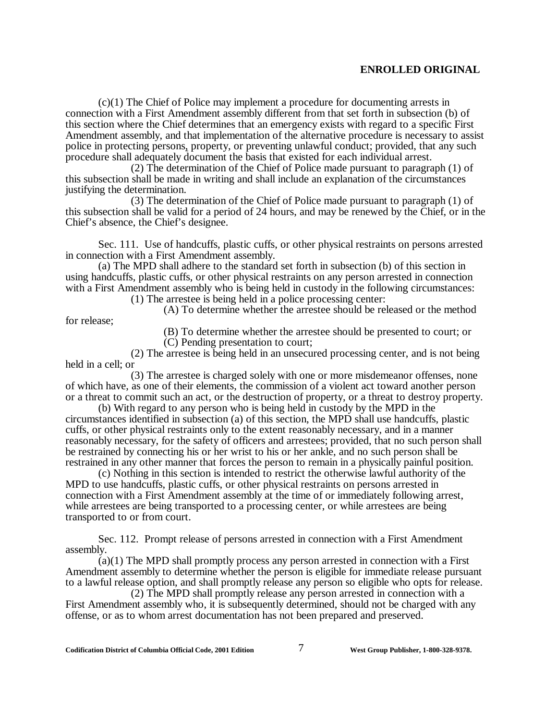(c)(1) The Chief of Police may implement a procedure for documenting arrests in connection with a First Amendment assembly different from that set forth in subsection (b) of this section where the Chief determines that an emergency exists with regard to a specific First Amendment assembly, and that implementation of the alternative procedure is necessary to assist police in protecting persons, property, or preventing unlawful conduct; provided, that any such procedure shall adequately document the basis that existed for each individual arrest.

(2) The determination of the Chief of Police made pursuant to paragraph (1) of this subsection shall be made in writing and shall include an explanation of the circumstances justifying the determination.

(3) The determination of the Chief of Police made pursuant to paragraph (1) of this subsection shall be valid for a period of 24 hours, and may be renewed by the Chief, or in the Chief's absence, the Chief's designee.

Sec. 111. Use of handcuffs, plastic cuffs, or other physical restraints on persons arrested in connection with a First Amendment assembly.

(a) The MPD shall adhere to the standard set forth in subsection (b) of this section in using handcuffs, plastic cuffs, or other physical restraints on any person arrested in connection with a First Amendment assembly who is being held in custody in the following circumstances:

(1) The arrestee is being held in a police processing center:

(A) To determine whether the arrestee should be released or the method

(B) To determine whether the arrestee should be presented to court; or (C) Pending presentation to court;

(2) The arrestee is being held in an unsecured processing center, and is not being held in a cell; or

(3) The arrestee is charged solely with one or more misdemeanor offenses, none of which have, as one of their elements, the commission of a violent act toward another person or a threat to commit such an act, or the destruction of property, or a threat to destroy property.

(b) With regard to any person who is being held in custody by the MPD in the circumstances identified in subsection (a) of this section, the MPD shall use handcuffs, plastic cuffs, or other physical restraints only to the extent reasonably necessary, and in a manner reasonably necessary, for the safety of officers and arrestees; provided, that no such person shall be restrained by connecting his or her wrist to his or her ankle, and no such person shall be restrained in any other manner that forces the person to remain in a physically painful position.

(c) Nothing in this section is intended to restrict the otherwise lawful authority of the MPD to use handcuffs, plastic cuffs, or other physical restraints on persons arrested in connection with a First Amendment assembly at the time of or immediately following arrest, while arrestees are being transported to a processing center, or while arrestees are being transported to or from court.

Sec. 112. Prompt release of persons arrested in connection with a First Amendment assembly.

(a)(1) The MPD shall promptly process any person arrested in connection with a First Amendment assembly to determine whether the person is eligible for immediate release pursuant to a lawful release option, and shall promptly release any person so eligible who opts for release.

(2) The MPD shall promptly release any person arrested in connection with a First Amendment assembly who, it is subsequently determined, should not be charged with any offense, or as to whom arrest documentation has not been prepared and preserved.

for release;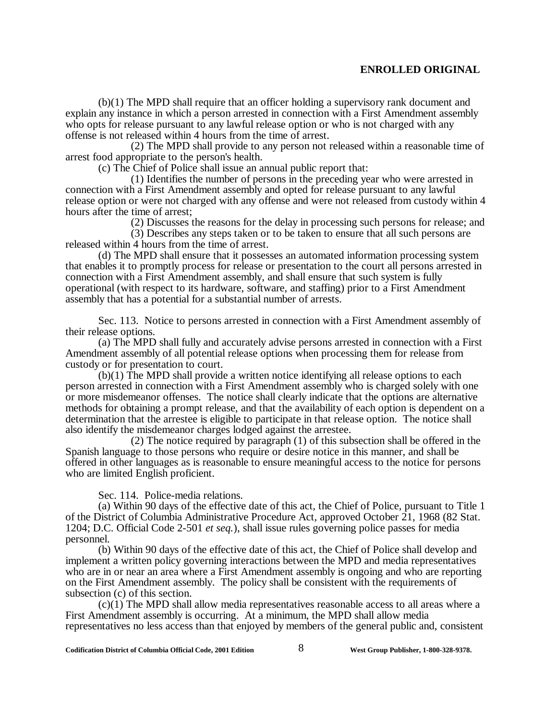(b)(1) The MPD shall require that an officer holding a supervisory rank document and explain any instance in which a person arrested in connection with a First Amendment assembly who opts for release pursuant to any lawful release option or who is not charged with any offense is not released within 4 hours from the time of arrest.

(2) The MPD shall provide to any person not released within a reasonable time of arrest food appropriate to the person's health.

(c) The Chief of Police shall issue an annual public report that:

(1) Identifies the number of persons in the preceding year who were arrested in connection with a First Amendment assembly and opted for release pursuant to any lawful release option or were not charged with any offense and were not released from custody within 4 hours after the time of arrest;

(2) Discusses the reasons for the delay in processing such persons for release; and

(3) Describes any steps taken or to be taken to ensure that all such persons are released within 4 hours from the time of arrest.

(d) The MPD shall ensure that it possesses an automated information processing system that enables it to promptly process for release or presentation to the court all persons arrested in connection with a First Amendment assembly, and shall ensure that such system is fully operational (with respect to its hardware, software, and staffing) prior to a First Amendment assembly that has a potential for a substantial number of arrests.

Sec. 113. Notice to persons arrested in connection with a First Amendment assembly of their release options.

(a) The MPD shall fully and accurately advise persons arrested in connection with a First Amendment assembly of all potential release options when processing them for release from custody or for presentation to court.

(b)(1) The MPD shall provide a written notice identifying all release options to each person arrested in connection with a First Amendment assembly who is charged solely with one or more misdemeanor offenses. The notice shall clearly indicate that the options are alternative methods for obtaining a prompt release, and that the availability of each option is dependent on a determination that the arrestee is eligible to participate in that release option. The notice shall also identify the misdemeanor charges lodged against the arrestee.

(2) The notice required by paragraph (1) of this subsection shall be offered in the Spanish language to those persons who require or desire notice in this manner, and shall be offered in other languages as is reasonable to ensure meaningful access to the notice for persons who are limited English proficient.

Sec. 114. Police-media relations.

(a) Within 90 days of the effective date of this act, the Chief of Police, pursuant to Title 1 of the District of Columbia Administrative Procedure Act, approved October 21, 1968 (82 Stat. 1204; D.C. Official Code 2-501 *et seq.*), shall issue rules governing police passes for media personnel.

(b) Within 90 days of the effective date of this act, the Chief of Police shall develop and implement a written policy governing interactions between the MPD and media representatives who are in or near an area where a First Amendment assembly is ongoing and who are reporting on the First Amendment assembly. The policy shall be consistent with the requirements of subsection (c) of this section.

(c)(1) The MPD shall allow media representatives reasonable access to all areas where a First Amendment assembly is occurring. At a minimum, the MPD shall allow media representatives no less access than that enjoyed by members of the general public and, consistent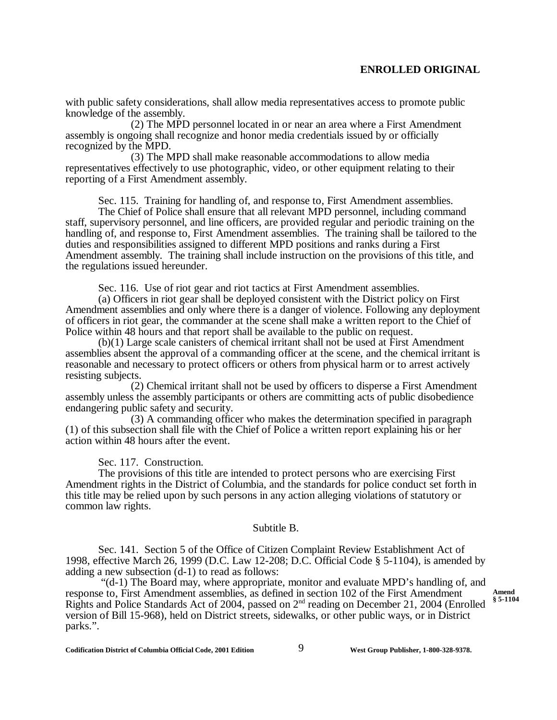with public safety considerations, shall allow media representatives access to promote public knowledge of the assembly.

(2) The MPD personnel located in or near an area where a First Amendment assembly is ongoing shall recognize and honor media credentials issued by or officially recognized by the MPD.

(3) The MPD shall make reasonable accommodations to allow media representatives effectively to use photographic, video, or other equipment relating to their reporting of a First Amendment assembly.

Sec. 115. Training for handling of, and response to, First Amendment assemblies.

The Chief of Police shall ensure that all relevant MPD personnel, including command staff, supervisory personnel, and line officers, are provided regular and periodic training on the handling of, and response to, First Amendment assemblies. The training shall be tailored to the duties and responsibilities assigned to different MPD positions and ranks during a First Amendment assembly. The training shall include instruction on the provisions of this title, and the regulations issued hereunder.

Sec. 116. Use of riot gear and riot tactics at First Amendment assemblies.

(a) Officers in riot gear shall be deployed consistent with the District policy on First Amendment assemblies and only where there is a danger of violence. Following any deployment of officers in riot gear, the commander at the scene shall make a written report to the Chief of Police within 48 hours and that report shall be available to the public on request.

(b)(1) Large scale canisters of chemical irritant shall not be used at First Amendment assemblies absent the approval of a commanding officer at the scene, and the chemical irritant is reasonable and necessary to protect officers or others from physical harm or to arrest actively resisting subjects.

(2) Chemical irritant shall not be used by officers to disperse a First Amendment assembly unless the assembly participants or others are committing acts of public disobedience endangering public safety and security.

(3) A commanding officer who makes the determination specified in paragraph (1) of this subsection shall file with the Chief of Police a written report explaining his or her action within 48 hours after the event.

Sec. 117. Construction.

The provisions of this title are intended to protect persons who are exercising First Amendment rights in the District of Columbia, and the standards for police conduct set forth in this title may be relied upon by such persons in any action alleging violations of statutory or common law rights.

#### Subtitle B.

Sec. 141. Section 5 of the Office of Citizen Complaint Review Establishment Act of 1998, effective March 26, 1999 (D.C. Law 12-208; D.C. Official Code § 5-1104), is amended by adding a new subsection (d-1) to read as follows:

 "(d-1) The Board may, where appropriate, monitor and evaluate MPD's handling of, and response to, First Amendment assemblies, as defined in section 102 of the First Amendment Rights and Police Standards Act of 2004, passed on 2nd reading on December 21, 2004 (Enrolled version of Bill 15-968), held on District streets, sidewalks, or other public ways, or in District parks.".

**Amend § 5-1104**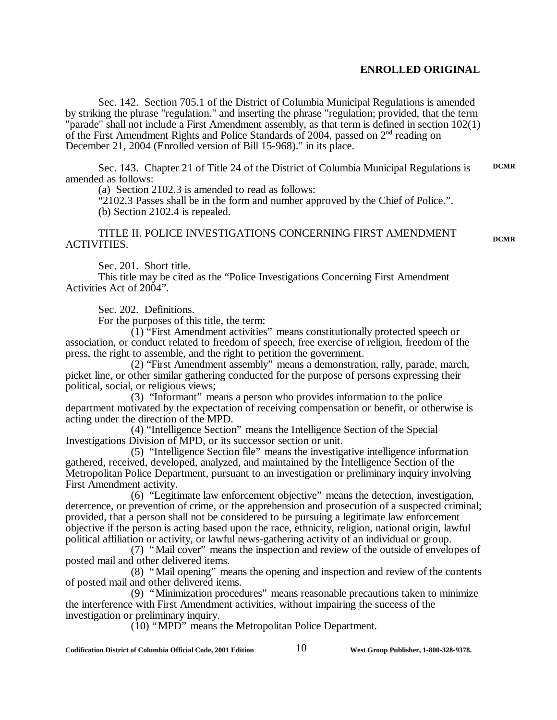Sec. 142. Section 705.1 of the District of Columbia Municipal Regulations is amended by striking the phrase "regulation." and inserting the phrase "regulation; provided, that the term "parade" shall not include a First Amendment assembly, as that term is defined in section 102(1) of the First Amendment Rights and Police Standards of 2004, passed on 2nd reading on December 21, 2004 (Enrolled version of Bill 15-968)." in its place.

Sec. 143. Chapter 21 of Title 24 of the District of Columbia Municipal Regulations is amended as follows: **DCMR**

(a) Section 2102.3 is amended to read as follows:

"2102.3 Passes shall be in the form and number approved by the Chief of Police.". (b) Section 2102.4 is repealed.

TITLE II. POLICE INVESTIGATIONS CONCERNING FIRST AMENDMENT ACTIVITIES.

**DCMR**

Sec. 201. Short title.

This title may be cited as the "Police Investigations Concerning First Amendment Activities Act of 2004".

Sec. 202. Definitions.

For the purposes of this title, the term:

 $(1)$  "First Amendment activities" means constitutionally protected speech or association, or conduct related to freedom of speech, free exercise of religion, freedom of the press, the right to assemble, and the right to petition the government.

(2) "First Amendment assembly" means a demonstration, rally, parade, march, picket line, or other similar gathering conducted for the purpose of persons expressing their political, social, or religious views;

(3) "Informant" means a person who provides information to the police department motivated by the expectation of receiving compensation or benefit, or otherwise is acting under the direction of the MPD.

(4) "Intelligence Section" means the Intelligence Section of the Special Investigations Division of MPD, or its successor section or unit.

(5) "Intelligence Section file" means the investigative intelligence information gathered, received, developed, analyzed, and maintained by the Intelligence Section of the Metropolitan Police Department, pursuant to an investigation or preliminary inquiry involving First Amendment activity.

(6) "Legitimate law enforcement objective" means the detection, investigation, deterrence, or prevention of crime, or the apprehension and prosecution of a suspected criminal; provided, that a person shall not be considered to be pursuing a legitimate law enforcement objective if the person is acting based upon the race, ethnicity, religion, national origin, lawful political affiliation or activity, or lawful news-gathering activity of an individual or group.

(7) "Mail cover" means the inspection and review of the outside of envelopes of posted mail and other delivered items.

(8) "Mail opening" means the opening and inspection and review of the contents of posted mail and other delivered items.

(9) "Minimization procedures" means reasonable precautions taken to minimize the interference with First Amendment activities, without impairing the success of the investigation or preliminary inquiry.

(10) "MPD" means the Metropolitan Police Department.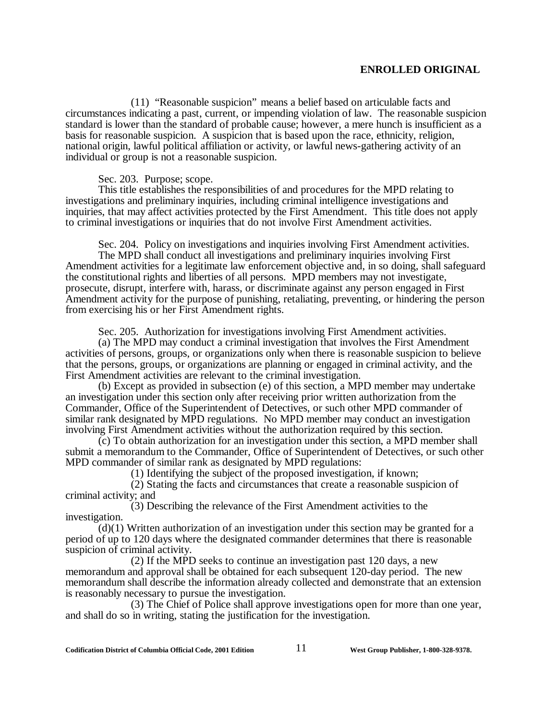(11) "Reasonable suspicion" means a belief based on articulable facts and circumstances indicating a past, current, or impending violation of law. The reasonable suspicion standard is lower than the standard of probable cause; however, a mere hunch is insufficient as a basis for reasonable suspicion. A suspicion that is based upon the race, ethnicity, religion, national origin, lawful political affiliation or activity, or lawful news-gathering activity of an individual or group is not a reasonable suspicion.

Sec. 203. Purpose; scope.

This title establishes the responsibilities of and procedures for the MPD relating to investigations and preliminary inquiries, including criminal intelligence investigations and inquiries, that may affect activities protected by the First Amendment. This title does not apply to criminal investigations or inquiries that do not involve First Amendment activities.

Sec. 204. Policy on investigations and inquiries involving First Amendment activities. The MPD shall conduct all investigations and preliminary inquiries involving First Amendment activities for a legitimate law enforcement objective and, in so doing, shall safeguard the constitutional rights and liberties of all persons. MPD members may not investigate, prosecute, disrupt, interfere with, harass, or discriminate against any person engaged in First Amendment activity for the purpose of punishing, retaliating, preventing, or hindering the person from exercising his or her First Amendment rights.

Sec. 205. Authorization for investigations involving First Amendment activities.

 (a) The MPD may conduct a criminal investigation that involves the First Amendment activities of persons, groups, or organizations only when there is reasonable suspicion to believe that the persons, groups, or organizations are planning or engaged in criminal activity, and the First Amendment activities are relevant to the criminal investigation.

(b) Except as provided in subsection (e) of this section, a MPD member may undertake an investigation under this section only after receiving prior written authorization from the Commander, Office of the Superintendent of Detectives, or such other MPD commander of similar rank designated by MPD regulations. No MPD member may conduct an investigation involving First Amendment activities without the authorization required by this section.

(c) To obtain authorization for an investigation under this section, a MPD member shall submit a memorandum to the Commander, Office of Superintendent of Detectives, or such other MPD commander of similar rank as designated by MPD regulations:

(1) Identifying the subject of the proposed investigation, if known;

(2) Stating the facts and circumstances that create a reasonable suspicion of criminal activity; and

(3) Describing the relevance of the First Amendment activities to the investigation.

(d)(1) Written authorization of an investigation under this section may be granted for a period of up to 120 days where the designated commander determines that there is reasonable suspicion of criminal activity.

(2) If the MPD seeks to continue an investigation past 120 days, a new memorandum and approval shall be obtained for each subsequent 120-day period. The new memorandum shall describe the information already collected and demonstrate that an extension is reasonably necessary to pursue the investigation.

(3) The Chief of Police shall approve investigations open for more than one year, and shall do so in writing, stating the justification for the investigation.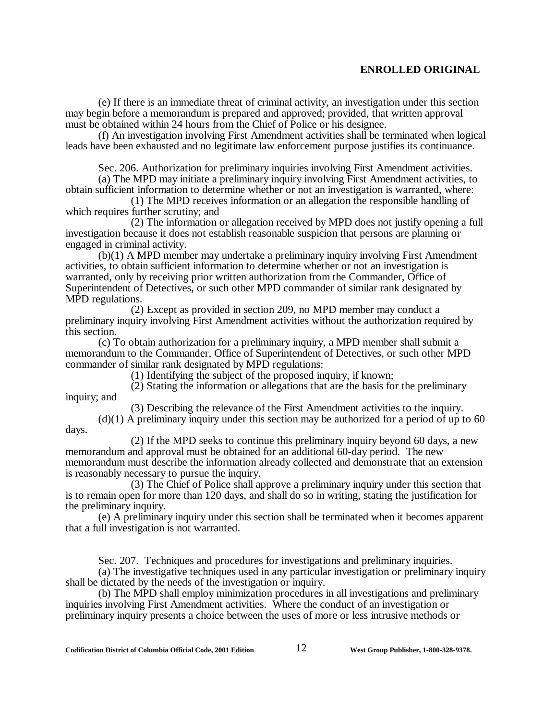(e) If there is an immediate threat of criminal activity, an investigation under this section may begin before a memorandum is prepared and approved; provided, that written approval must be obtained within 24 hours from the Chief of Police or his designee.

(f) An investigation involving First Amendment activities shall be terminated when logical leads have been exhausted and no legitimate law enforcement purpose justifies its continuance.

Sec. 206. Authorization for preliminary inquiries involving First Amendment activities.

(a) The MPD may initiate a preliminary inquiry involving First Amendment activities, to obtain sufficient information to determine whether or not an investigation is warranted, where:

(1) The MPD receives information or an allegation the responsible handling of which requires further scrutiny; and

(2) The information or allegation received by MPD does not justify opening a full investigation because it does not establish reasonable suspicion that persons are planning or engaged in criminal activity.

(b)(1) A MPD member may undertake a preliminary inquiry involving First Amendment activities, to obtain sufficient information to determine whether or not an investigation is warranted, only by receiving prior written authorization from the Commander, Office of Superintendent of Detectives, or such other MPD commander of similar rank designated by MPD regulations.

(2) Except as provided in section 209, no MPD member may conduct a preliminary inquiry involving First Amendment activities without the authorization required by this section.

(c) To obtain authorization for a preliminary inquiry, a MPD member shall submit a memorandum to the Commander, Office of Superintendent of Detectives, or such other MPD commander of similar rank designated by MPD regulations:

(1) Identifying the subject of the proposed inquiry, if known;

(2) Stating the information or allegations that are the basis for the preliminary inquiry; and

(3) Describing the relevance of the First Amendment activities to the inquiry.

 $(d)(1)$  A preliminary inquiry under this section may be authorized for a period of up to 60 days.

(2) If the MPD seeks to continue this preliminary inquiry beyond 60 days, a new memorandum and approval must be obtained for an additional 60-day period. The new memorandum must describe the information already collected and demonstrate that an extension is reasonably necessary to pursue the inquiry.

(3) The Chief of Police shall approve a preliminary inquiry under this section that is to remain open for more than 120 days, and shall do so in writing, stating the justification for the preliminary inquiry.

(e) A preliminary inquiry under this section shall be terminated when it becomes apparent that a full investigation is not warranted.

Sec. 207. Techniques and procedures for investigations and preliminary inquiries.

(a) The investigative techniques used in any particular investigation or preliminary inquiry shall be dictated by the needs of the investigation or inquiry.

(b) The MPD shall employ minimization procedures in all investigations and preliminary inquiries involving First Amendment activities. Where the conduct of an investigation or preliminary inquiry presents a choice between the uses of more or less intrusive methods or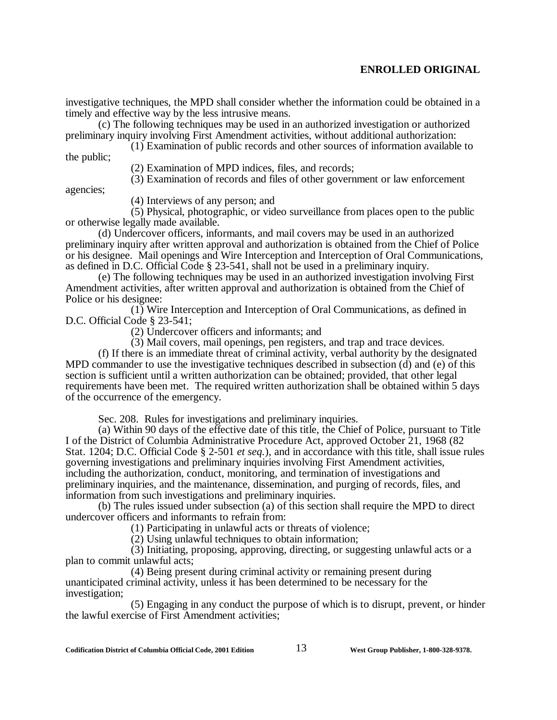investigative techniques, the MPD shall consider whether the information could be obtained in a timely and effective way by the less intrusive means.

(c) The following techniques may be used in an authorized investigation or authorized preliminary inquiry involving First Amendment activities, without additional authorization:

(1) Examination of public records and other sources of information available to the public;

(2) Examination of MPD indices, files, and records;

(3) Examination of records and files of other government or law enforcement

agencies;

(4) Interviews of any person; and

(5) Physical, photographic, or video surveillance from places open to the public or otherwise legally made available.

(d) Undercover officers, informants, and mail covers may be used in an authorized preliminary inquiry after written approval and authorization is obtained from the Chief of Police or his designee. Mail openings and Wire Interception and Interception of Oral Communications, as defined in D.C. Official Code § 23-541, shall not be used in a preliminary inquiry.

(e) The following techniques may be used in an authorized investigation involving First Amendment activities, after written approval and authorization is obtained from the Chief of Police or his designee:

(1) Wire Interception and Interception of Oral Communications, as defined in D.C. Official Code § 23-541;

(2) Undercover officers and informants; and

(3) Mail covers, mail openings, pen registers, and trap and trace devices.

(f) If there is an immediate threat of criminal activity, verbal authority by the designated MPD commander to use the investigative techniques described in subsection (d) and (e) of this section is sufficient until a written authorization can be obtained; provided, that other legal requirements have been met. The required written authorization shall be obtained within 5 days of the occurrence of the emergency.

Sec. 208. Rules for investigations and preliminary inquiries.

(a) Within 90 days of the effective date of this title, the Chief of Police, pursuant to Title I of the District of Columbia Administrative Procedure Act, approved October 21, 1968 (82 Stat. 1204; D.C. Official Code § 2-501 *et seq.*), and in accordance with this title, shall issue rules governing investigations and preliminary inquiries involving First Amendment activities, including the authorization, conduct, monitoring, and termination of investigations and preliminary inquiries, and the maintenance, dissemination, and purging of records, files, and information from such investigations and preliminary inquiries.

(b) The rules issued under subsection (a) of this section shall require the MPD to direct undercover officers and informants to refrain from:

(1) Participating in unlawful acts or threats of violence;

(2) Using unlawful techniques to obtain information;

(3) Initiating, proposing, approving, directing, or suggesting unlawful acts or a plan to commit unlawful acts;

(4) Being present during criminal activity or remaining present during unanticipated criminal activity, unless it has been determined to be necessary for the investigation;

(5) Engaging in any conduct the purpose of which is to disrupt, prevent, or hinder the lawful exercise of First Amendment activities;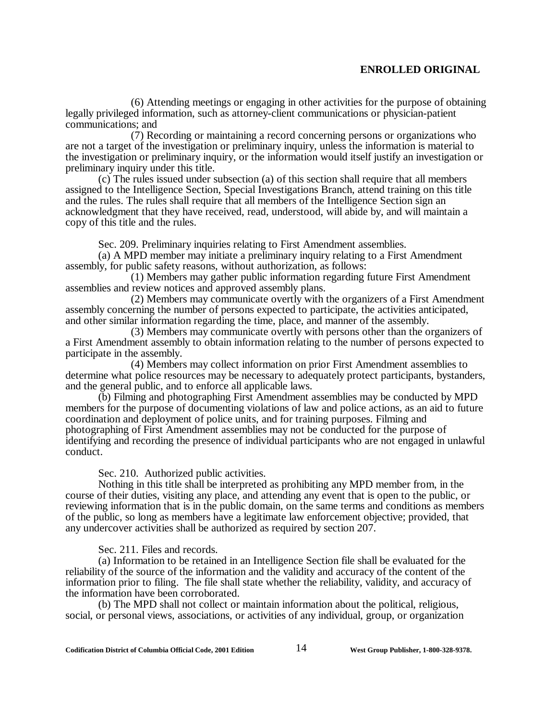(6) Attending meetings or engaging in other activities for the purpose of obtaining legally privileged information, such as attorney-client communications or physician-patient communications; and

(7) Recording or maintaining a record concerning persons or organizations who are not a target of the investigation or preliminary inquiry, unless the information is material to the investigation or preliminary inquiry, or the information would itself justify an investigation or preliminary inquiry under this title.

(c) The rules issued under subsection (a) of this section shall require that all members assigned to the Intelligence Section, Special Investigations Branch, attend training on this title and the rules. The rules shall require that all members of the Intelligence Section sign an acknowledgment that they have received, read, understood, will abide by, and will maintain a copy of this title and the rules.

Sec. 209. Preliminary inquiries relating to First Amendment assemblies.

(a) A MPD member may initiate a preliminary inquiry relating to a First Amendment assembly, for public safety reasons, without authorization, as follows:

(1) Members may gather public information regarding future First Amendment assemblies and review notices and approved assembly plans.

(2) Members may communicate overtly with the organizers of a First Amendment assembly concerning the number of persons expected to participate, the activities anticipated, and other similar information regarding the time, place, and manner of the assembly.

(3) Members may communicate overtly with persons other than the organizers of a First Amendment assembly to obtain information relating to the number of persons expected to participate in the assembly.

(4) Members may collect information on prior First Amendment assemblies to determine what police resources may be necessary to adequately protect participants, bystanders, and the general public, and to enforce all applicable laws.

(b) Filming and photographing First Amendment assemblies may be conducted by MPD members for the purpose of documenting violations of law and police actions, as an aid to future coordination and deployment of police units, and for training purposes. Filming and photographing of First Amendment assemblies may not be conducted for the purpose of identifying and recording the presence of individual participants who are not engaged in unlawful conduct.

Sec. 210. Authorized public activities.

Nothing in this title shall be interpreted as prohibiting any MPD member from, in the course of their duties, visiting any place, and attending any event that is open to the public, or reviewing information that is in the public domain, on the same terms and conditions as members of the public, so long as members have a legitimate law enforcement objective; provided, that any undercover activities shall be authorized as required by section 207.

Sec. 211. Files and records.

(a) Information to be retained in an Intelligence Section file shall be evaluated for the reliability of the source of the information and the validity and accuracy of the content of the information prior to filing. The file shall state whether the reliability, validity, and accuracy of the information have been corroborated.

(b) The MPD shall not collect or maintain information about the political, religious, social, or personal views, associations, or activities of any individual, group, or organization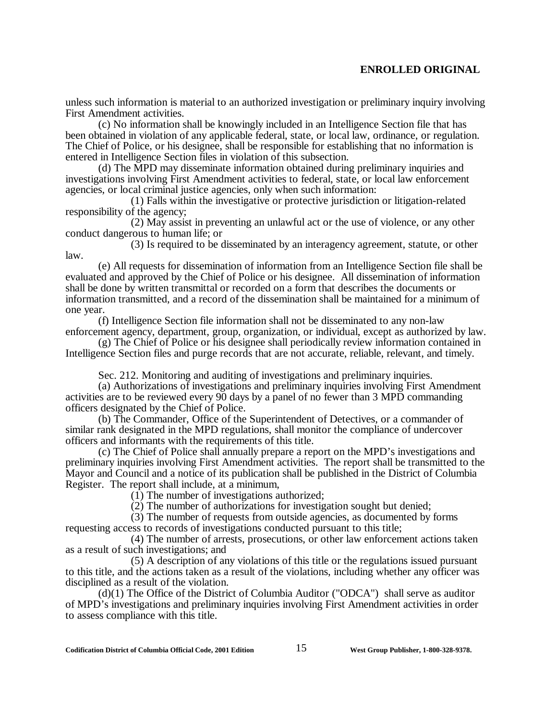unless such information is material to an authorized investigation or preliminary inquiry involving First Amendment activities.

(c) No information shall be knowingly included in an Intelligence Section file that has been obtained in violation of any applicable federal, state, or local law, ordinance, or regulation. The Chief of Police, or his designee, shall be responsible for establishing that no information is entered in Intelligence Section files in violation of this subsection.

(d) The MPD may disseminate information obtained during preliminary inquiries and investigations involving First Amendment activities to federal, state, or local law enforcement agencies, or local criminal justice agencies, only when such information:

(1) Falls within the investigative or protective jurisdiction or litigation-related responsibility of the agency;

(2) May assist in preventing an unlawful act or the use of violence, or any other conduct dangerous to human life; or

(3) Is required to be disseminated by an interagency agreement, statute, or other law.

(e) All requests for dissemination of information from an Intelligence Section file shall be evaluated and approved by the Chief of Police or his designee. All dissemination of information shall be done by written transmittal or recorded on a form that describes the documents or information transmitted, and a record of the dissemination shall be maintained for a minimum of one year.

(f) Intelligence Section file information shall not be disseminated to any non-law enforcement agency, department, group, organization, or individual, except as authorized by law.

(g) The Chief of Police or his designee shall periodically review information contained in Intelligence Section files and purge records that are not accurate, reliable, relevant, and timely.

Sec. 212. Monitoring and auditing of investigations and preliminary inquiries.

(a) Authorizations of investigations and preliminary inquiries involving First Amendment activities are to be reviewed every 90 days by a panel of no fewer than 3 MPD commanding officers designated by the Chief of Police.

(b) The Commander, Office of the Superintendent of Detectives, or a commander of similar rank designated in the MPD regulations, shall monitor the compliance of undercover officers and informants with the requirements of this title.

(c) The Chief of Police shall annually prepare a report on the MPD's investigations and preliminary inquiries involving First Amendment activities. The report shall be transmitted to the Mayor and Council and a notice of its publication shall be published in the District of Columbia Register. The report shall include, at a minimum,

(1) The number of investigations authorized;

(2) The number of authorizations for investigation sought but denied;

(3) The number of requests from outside agencies, as documented by forms requesting access to records of investigations conducted pursuant to this title;

(4) The number of arrests, prosecutions, or other law enforcement actions taken as a result of such investigations; and

(5) A description of any violations of this title or the regulations issued pursuant to this title, and the actions taken as a result of the violations, including whether any officer was disciplined as a result of the violation.

(d)(1) The Office of the District of Columbia Auditor ("ODCA") shall serve as auditor of MPD's investigations and preliminary inquiries involving First Amendment activities in order to assess compliance with this title.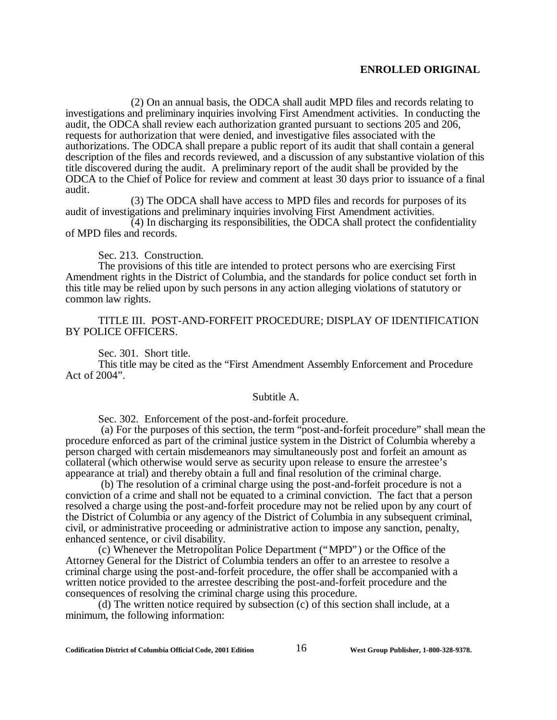(2) On an annual basis, the ODCA shall audit MPD files and records relating to investigations and preliminary inquiries involving First Amendment activities. In conducting the audit, the ODCA shall review each authorization granted pursuant to sections 205 and 206, requests for authorization that were denied, and investigative files associated with the authorizations. The ODCA shall prepare a public report of its audit that shall contain a general description of the files and records reviewed, and a discussion of any substantive violation of this title discovered during the audit. A preliminary report of the audit shall be provided by the ODCA to the Chief of Police for review and comment at least 30 days prior to issuance of a final audit.

(3) The ODCA shall have access to MPD files and records for purposes of its audit of investigations and preliminary inquiries involving First Amendment activities.

(4) In discharging its responsibilities, the ODCA shall protect the confidentiality of MPD files and records.

Sec. 213. Construction.

The provisions of this title are intended to protect persons who are exercising First Amendment rights in the District of Columbia, and the standards for police conduct set forth in this title may be relied upon by such persons in any action alleging violations of statutory or common law rights.

TITLE III. POST-AND-FORFEIT PROCEDURE; DISPLAY OF IDENTIFICATION BY POLICE OFFICERS.

Sec. 301. Short title.

This title may be cited as the "First Amendment Assembly Enforcement and Procedure Act of 2004".

#### Subtitle A.

Sec. 302. Enforcement of the post-and-forfeit procedure.

 (a) For the purposes of this section, the term "post-and-forfeit procedure" shall mean the procedure enforced as part of the criminal justice system in the District of Columbia whereby a person charged with certain misdemeanors may simultaneously post and forfeit an amount as collateral (which otherwise would serve as security upon release to ensure the arrestee's appearance at trial) and thereby obtain a full and final resolution of the criminal charge.

 (b) The resolution of a criminal charge using the post-and-forfeit procedure is not a conviction of a crime and shall not be equated to a criminal conviction. The fact that a person resolved a charge using the post-and-forfeit procedure may not be relied upon by any court of the District of Columbia or any agency of the District of Columbia in any subsequent criminal, civil, or administrative proceeding or administrative action to impose any sanction, penalty, enhanced sentence, or civil disability.

(c) Whenever the Metropolitan Police Department ("MPD") or the Office of the Attorney General for the District of Columbia tenders an offer to an arrestee to resolve a criminal charge using the post-and-forfeit procedure, the offer shall be accompanied with a written notice provided to the arrestee describing the post-and-forfeit procedure and the consequences of resolving the criminal charge using this procedure.

(d) The written notice required by subsection (c) of this section shall include, at a minimum, the following information: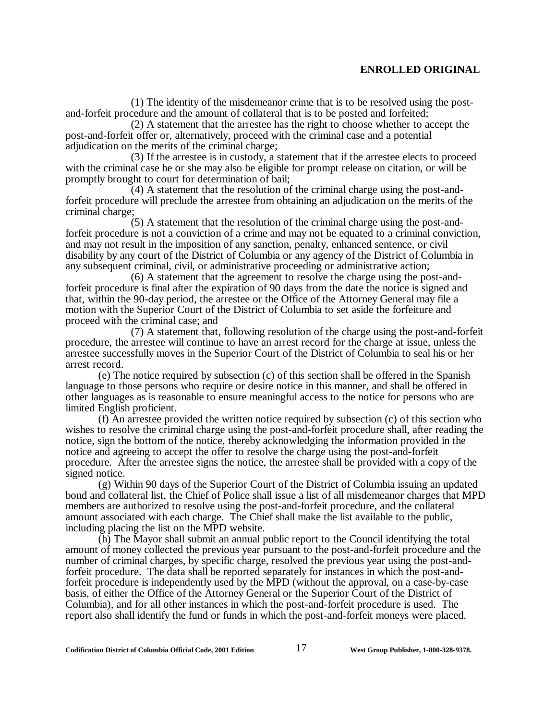(1) The identity of the misdemeanor crime that is to be resolved using the postand-forfeit procedure and the amount of collateral that is to be posted and forfeited;

(2) A statement that the arrestee has the right to choose whether to accept the post-and-forfeit offer or, alternatively, proceed with the criminal case and a potential adjudication on the merits of the criminal charge;

(3) If the arrestee is in custody, a statement that if the arrestee elects to proceed with the criminal case he or she may also be eligible for prompt release on citation, or will be promptly brought to court for determination of bail;

(4) A statement that the resolution of the criminal charge using the post-andforfeit procedure will preclude the arrestee from obtaining an adjudication on the merits of the criminal charge;

(5) A statement that the resolution of the criminal charge using the post-andforfeit procedure is not a conviction of a crime and may not be equated to a criminal conviction, and may not result in the imposition of any sanction, penalty, enhanced sentence, or civil disability by any court of the District of Columbia or any agency of the District of Columbia in any subsequent criminal, civil, or administrative proceeding or administrative action;

(6) A statement that the agreement to resolve the charge using the post-andforfeit procedure is final after the expiration of 90 days from the date the notice is signed and that, within the 90-day period, the arrestee or the Office of the Attorney General may file a motion with the Superior Court of the District of Columbia to set aside the forfeiture and proceed with the criminal case; and

(7) A statement that, following resolution of the charge using the post-and-forfeit procedure, the arrestee will continue to have an arrest record for the charge at issue, unless the arrestee successfully moves in the Superior Court of the District of Columbia to seal his or her arrest record.

(e) The notice required by subsection (c) of this section shall be offered in the Spanish language to those persons who require or desire notice in this manner, and shall be offered in other languages as is reasonable to ensure meaningful access to the notice for persons who are limited English proficient.

(f) An arrestee provided the written notice required by subsection (c) of this section who wishes to resolve the criminal charge using the post-and-forfeit procedure shall, after reading the notice, sign the bottom of the notice, thereby acknowledging the information provided in the notice and agreeing to accept the offer to resolve the charge using the post-and-forfeit procedure. After the arrestee signs the notice, the arrestee shall be provided with a copy of the signed notice.

(g) Within 90 days of the Superior Court of the District of Columbia issuing an updated bond and collateral list, the Chief of Police shall issue a list of all misdemeanor charges that MPD members are authorized to resolve using the post-and-forfeit procedure, and the collateral amount associated with each charge. The Chief shall make the list available to the public, including placing the list on the MPD website.

(h) The Mayor shall submit an annual public report to the Council identifying the total amount of money collected the previous year pursuant to the post-and-forfeit procedure and the number of criminal charges, by specific charge, resolved the previous year using the post-andforfeit procedure. The data shall be reported separately for instances in which the post-andforfeit procedure is independently used by the MPD (without the approval, on a case-by-case basis, of either the Office of the Attorney General or the Superior Court of the District of Columbia), and for all other instances in which the post-and-forfeit procedure is used. The report also shall identify the fund or funds in which the post-and-forfeit moneys were placed.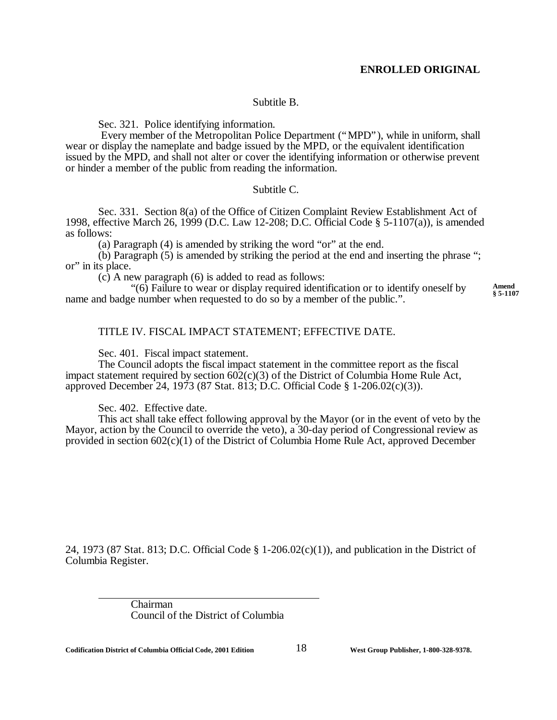### Subtitle B.

Sec. 321. Police identifying information.

 Every member of the Metropolitan Police Department ("MPD"), while in uniform, shall wear or display the nameplate and badge issued by the MPD, or the equivalent identification issued by the MPD, and shall not alter or cover the identifying information or otherwise prevent or hinder a member of the public from reading the information.

#### Subtitle C.

Sec. 331. Section 8(a) of the Office of Citizen Complaint Review Establishment Act of 1998, effective March 26, 1999 (D.C. Law 12-208; D.C. Official Code § 5-1107(a)), is amended as follows:

(a) Paragraph (4) is amended by striking the word "or" at the end.

(b) Paragraph (5) is amended by striking the period at the end and inserting the phrase "; or" in its place.

(c) A new paragraph (6) is added to read as follows:

"(6) Failure to wear or display required identification or to identify oneself by name and badge number when requested to do so by a member of the public.". **Amend § 5-1107**

#### TITLE IV. FISCAL IMPACT STATEMENT; EFFECTIVE DATE.

Sec. 401. Fiscal impact statement.

The Council adopts the fiscal impact statement in the committee report as the fiscal impact statement required by section  $602(c)(3)$  of the District of Columbia Home Rule Act, approved December 24, 1973 (87 Stat. 813; D.C. Official Code § 1-206.02(c)(3)).

Sec. 402. Effective date.

This act shall take effect following approval by the Mayor (or in the event of veto by the Mayor, action by the Council to override the veto), a 30-day period of Congressional review as provided in section 602(c)(1) of the District of Columbia Home Rule Act, approved December

24, 1973 (87 Stat. 813; D.C. Official Code § 1-206.02(c)(1)), and publication in the District of Columbia Register.

> Chairman Council of the District of Columbia

 $\overline{a}$